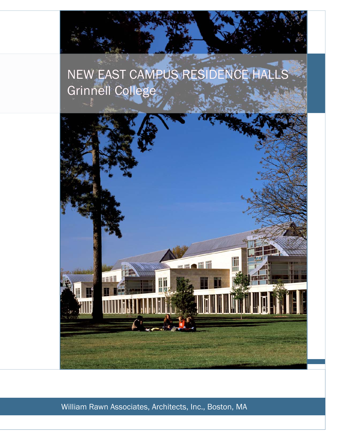## NEW EAST CAMPUS RESIDENCE HALLS Grinnell College



William Rawn Associates, Architects, Inc., Boston, MA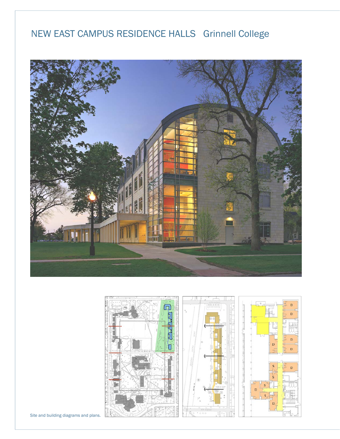## NEW EAST CAMPUS RESIDENCE HALLS Grinnell College





Site and building diagrams and plans.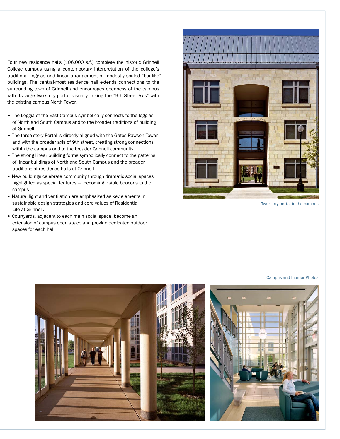Four new residence halls (106,000 s.f.) complete the historic Grinnell College campus using a contemporary interpretation of the college's traditional loggias and linear arrangement of modestly scaled "bar-like" buildings. The central-most residence hall extends connections to the surrounding town of Grinnell and encourages openness of the campus with its large two-story portal, visually linking the "9th Street Axis" with the existing campus North Tower.

- The Loggia of the East Campus symbolically connects to the loggias of North and South Campus and to the broader traditions of building at Grinnell.
- The three-story Portal is directly aligned with the Gates-Rawson Tower and with the broader axis of 9th street, creating strong connections within the campus and to the broader Grinnell community.
- The strong linear building forms symbolically connect to the patterns of linear buildings of North and South Campus and the broader traditions of residence halls at Grinnell.
- New buildings celebrate community through dramatic social spaces highlighted as special features — becoming visible beacons to the campus.
- Natural light and ventilation are emphasized as key elements in sustainable design strategies and core values of Residential Life at Grinnell.
- Courtyards, adjacent to each main social space, become an extension of campus open space and provide dedicated outdoor spaces for each hall.



Two-story portal to the campus.

Campus and Interior Photos